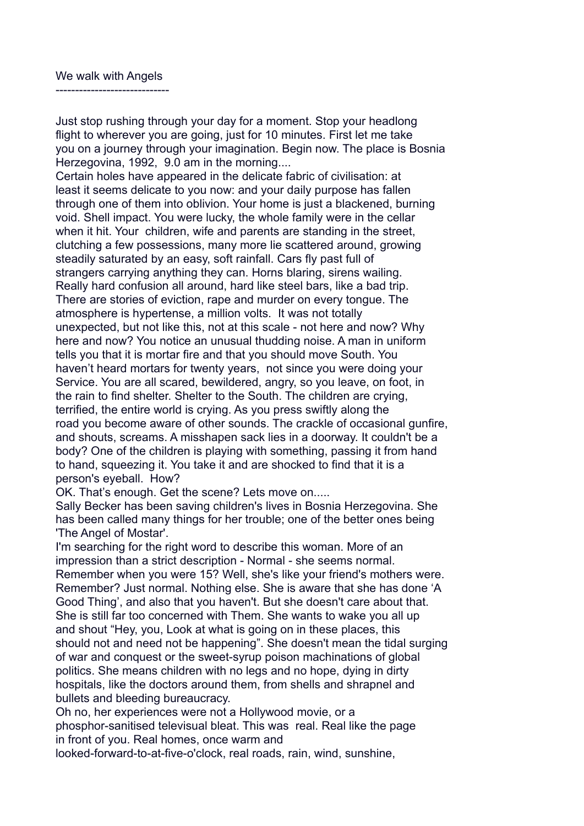## We walk with Angels

-----------------------------

Just stop rushing through your day for a moment. Stop your headlong flight to wherever you are going, just for 10 minutes. First let me take you on a journey through your imagination. Begin now. The place is Bosnia Herzegovina, 1992, 9.0 am in the morning....

Certain holes have appeared in the delicate fabric of civilisation: at least it seems delicate to you now: and your daily purpose has fallen through one of them into oblivion. Your home is just a blackened, burning void. Shell impact. You were lucky, the whole family were in the cellar when it hit. Your children, wife and parents are standing in the street, clutching a few possessions, many more lie scattered around, growing steadily saturated by an easy, soft rainfall. Cars fly past full of strangers carrying anything they can. Horns blaring, sirens wailing. Really hard confusion all around, hard like steel bars, like a bad trip. There are stories of eviction, rape and murder on every tongue. The atmosphere is hypertense, a million volts. It was not totally unexpected, but not like this, not at this scale - not here and now? Why here and now? You notice an unusual thudding noise. A man in uniform tells you that it is mortar fire and that you should move South. You haven't heard mortars for twenty years, not since you were doing your Service. You are all scared, bewildered, angry, so you leave, on foot, in the rain to find shelter. Shelter to the South. The children are crying, terrified, the entire world is crying. As you press swiftly along the road you become aware of other sounds. The crackle of occasional gunfire, and shouts, screams. A misshapen sack lies in a doorway. It couldn't be a body? One of the children is playing with something, passing it from hand to hand, squeezing it. You take it and are shocked to find that it is a person's eyeball. How?

OK. That's enough. Get the scene? Lets move on.....

Sally Becker has been saving children's lives in Bosnia Herzegovina. She has been called many things for her trouble; one of the better ones being 'The Angel of Mostar'.

I'm searching for the right word to describe this woman. More of an impression than a strict description - Normal - she seems normal. Remember when you were 15? Well, she's like your friend's mothers were. Remember? Just normal. Nothing else. She is aware that she has done 'A Good Thing', and also that you haven't. But she doesn't care about that. She is still far too concerned with Them. She wants to wake you all up and shout "Hey, you, Look at what is going on in these places, this should not and need not be happening". She doesn't mean the tidal surging of war and conquest or the sweet-syrup poison machinations of global politics. She means children with no legs and no hope, dying in dirty hospitals, like the doctors around them, from shells and shrapnel and bullets and bleeding bureaucracy.

Oh no, her experiences were not a Hollywood movie, or a phosphor-sanitised televisual bleat. This was real. Real like the page in front of you. Real homes, once warm and

looked-forward-to-at-five-o'clock, real roads, rain, wind, sunshine,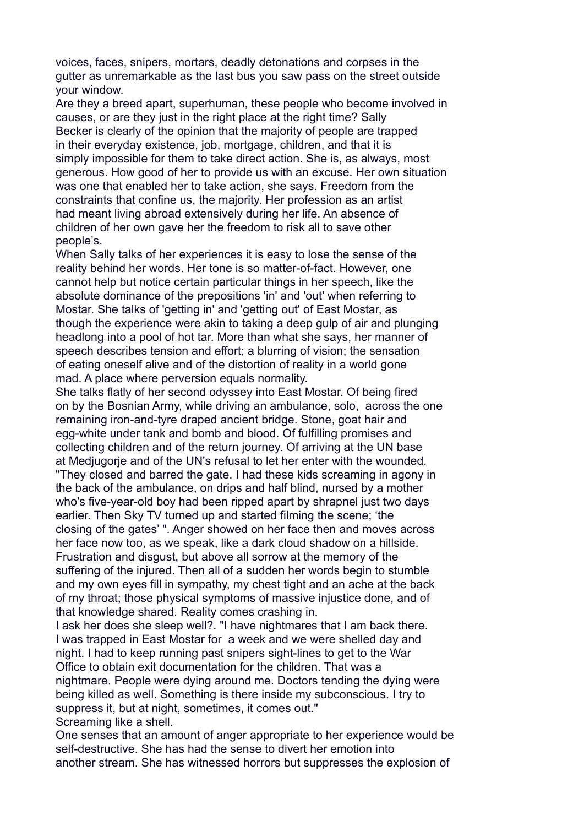voices, faces, snipers, mortars, deadly detonations and corpses in the gutter as unremarkable as the last bus you saw pass on the street outside your window.

Are they a breed apart, superhuman, these people who become involved in causes, or are they just in the right place at the right time? Sally Becker is clearly of the opinion that the majority of people are trapped in their everyday existence, job, mortgage, children, and that it is simply impossible for them to take direct action. She is, as always, most generous. How good of her to provide us with an excuse. Her own situation was one that enabled her to take action, she says. Freedom from the constraints that confine us, the majority. Her profession as an artist had meant living abroad extensively during her life. An absence of children of her own gave her the freedom to risk all to save other people's.

When Sally talks of her experiences it is easy to lose the sense of the reality behind her words. Her tone is so matter-of-fact. However, one cannot help but notice certain particular things in her speech, like the absolute dominance of the prepositions 'in' and 'out' when referring to Mostar. She talks of 'getting in' and 'getting out' of East Mostar, as though the experience were akin to taking a deep gulp of air and plunging headlong into a pool of hot tar. More than what she says, her manner of speech describes tension and effort; a blurring of vision; the sensation of eating oneself alive and of the distortion of reality in a world gone mad. A place where perversion equals normality.

She talks flatly of her second odyssey into East Mostar. Of being fired on by the Bosnian Army, while driving an ambulance, solo, across the one remaining iron-and-tyre draped ancient bridge. Stone, goat hair and egg-white under tank and bomb and blood. Of fulfilling promises and collecting children and of the return journey. Of arriving at the UN base at Medjugorje and of the UN's refusal to let her enter with the wounded. "They closed and barred the gate. I had these kids screaming in agony in the back of the ambulance, on drips and half blind, nursed by a mother who's five-year-old boy had been ripped apart by shrapnel just two days earlier. Then Sky TV turned up and started filming the scene; 'the closing of the gates' ". Anger showed on her face then and moves across her face now too, as we speak, like a dark cloud shadow on a hillside. Frustration and disgust, but above all sorrow at the memory of the suffering of the injured. Then all of a sudden her words begin to stumble and my own eyes fill in sympathy, my chest tight and an ache at the back of my throat; those physical symptoms of massive injustice done, and of that knowledge shared. Reality comes crashing in.

I ask her does she sleep well?. "I have nightmares that I am back there. I was trapped in East Mostar for a week and we were shelled day and night. I had to keep running past snipers sight-lines to get to the War Office to obtain exit documentation for the children. That was a nightmare. People were dying around me. Doctors tending the dying were being killed as well. Something is there inside my subconscious. I try to suppress it, but at night, sometimes, it comes out." Screaming like a shell.

One senses that an amount of anger appropriate to her experience would be self-destructive. She has had the sense to divert her emotion into another stream. She has witnessed horrors but suppresses the explosion of